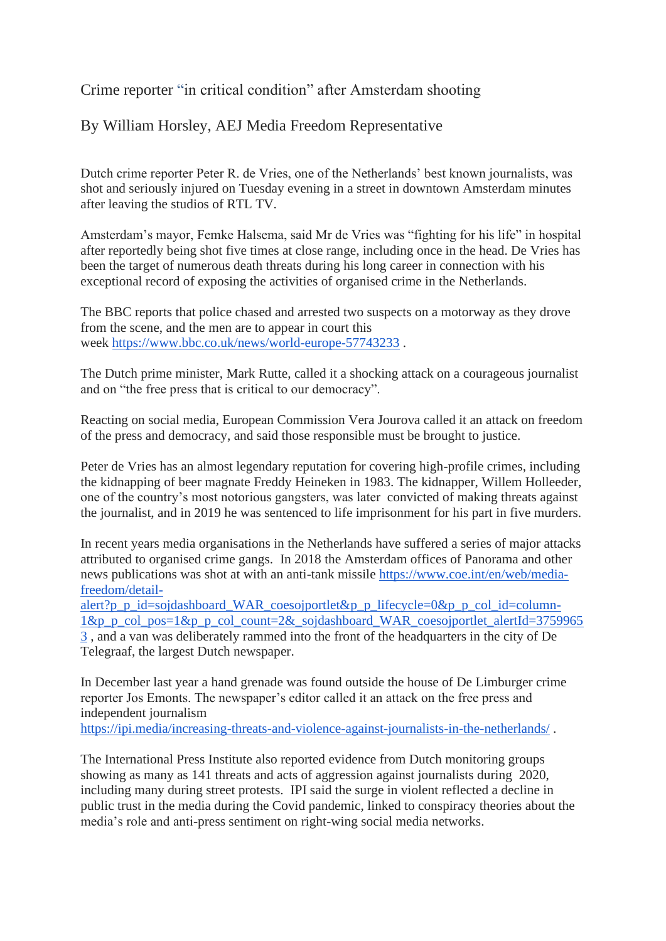Crime reporter "in critical condition" after Amsterdam shooting

By William Horsley, AEJ Media Freedom Representative

Dutch crime reporter Peter R. de Vries, one of the Netherlands' best known journalists, was shot and seriously injured on Tuesday evening in a street in downtown Amsterdam minutes after leaving the studios of RTL TV.

Amsterdam's mayor, Femke Halsema, said Mr de Vries was "fighting for his life" in hospital after reportedly being shot five times at close range, including once in the head. De Vries has been the target of numerous death threats during his long career in connection with his exceptional record of exposing the activities of organised crime in the Netherlands.

The BBC reports that police chased and arrested two suspects on a motorway as they drove from the scene, and the men are to appear in court this week <https://www.bbc.co.uk/news/world-europe-57743233> .

The Dutch prime minister, Mark Rutte, called it a shocking attack on a courageous journalist and on "the free press that is critical to our democracy".

Reacting on social media, European Commission Vera Jourova called it an attack on freedom of the press and democracy, and said those responsible must be brought to justice.

Peter de Vries has an almost legendary reputation for covering high-profile crimes, including the kidnapping of beer magnate Freddy Heineken in 1983. The kidnapper, Willem Holleeder, one of the country's most notorious gangsters, was later convicted of making threats against the journalist, and in 2019 he was sentenced to life imprisonment for his part in five murders.

In recent years media organisations in the Netherlands have suffered a series of major attacks attributed to organised crime gangs. In 2018 the Amsterdam offices of Panorama and other news publications was shot at with an anti-tank missile [https://www.coe.int/en/web/media](https://www.coe.int/en/web/media-freedom/detail-alert?p_p_id=sojdashboard_WAR_coesojportlet&p_p_lifecycle=0&p_p_col_id=column-1&p_p_col_pos=1&p_p_col_count=2&_sojdashboard_WAR_coesojportlet_alertId=37599653)[freedom/detail-](https://www.coe.int/en/web/media-freedom/detail-alert?p_p_id=sojdashboard_WAR_coesojportlet&p_p_lifecycle=0&p_p_col_id=column-1&p_p_col_pos=1&p_p_col_count=2&_sojdashboard_WAR_coesojportlet_alertId=37599653)

[alert?p\\_p\\_id=sojdashboard\\_WAR\\_coesojportlet&p\\_p\\_lifecycle=0&p\\_p\\_col\\_id=column-](https://www.coe.int/en/web/media-freedom/detail-alert?p_p_id=sojdashboard_WAR_coesojportlet&p_p_lifecycle=0&p_p_col_id=column-1&p_p_col_pos=1&p_p_col_count=2&_sojdashboard_WAR_coesojportlet_alertId=37599653) $1&p$  p\_col\_pos= $1&p$  p\_col\_count= $2&$ \_sojdashboard\_WAR\_coesojportlet\_alertId=3759965 [3](https://www.coe.int/en/web/media-freedom/detail-alert?p_p_id=sojdashboard_WAR_coesojportlet&p_p_lifecycle=0&p_p_col_id=column-1&p_p_col_pos=1&p_p_col_count=2&_sojdashboard_WAR_coesojportlet_alertId=37599653) , and a van was deliberately rammed into the front of the headquarters in the city of De Telegraaf, the largest Dutch newspaper.

In December last year a hand grenade was found outside the house of De Limburger crime reporter Jos Emonts. The newspaper's editor called it an attack on the free press and independent journalism

<https://ipi.media/increasing-threats-and-violence-against-journalists-in-the-netherlands/> .

The International Press Institute also reported evidence from Dutch monitoring groups showing as many as 141 threats and acts of aggression against journalists during 2020, including many during street protests. IPI said the surge in violent reflected a decline in public trust in the media during the Covid pandemic, linked to conspiracy theories about the media's role and anti-press sentiment on right-wing social media networks.